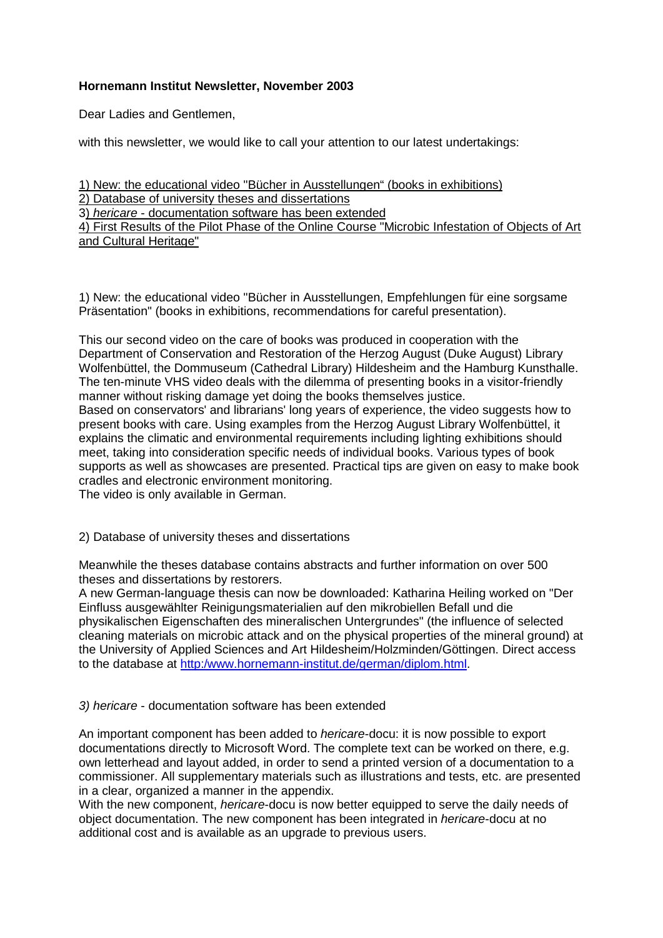## **Hornemann Institut Newsletter, November 2003**

Dear Ladies and Gentlemen,

with this newsletter, we would like to call your attention to our latest undertakings:

1) New: the educational video "Bücher in Ausstellungen" (books in exhibitions) 2) Database of university theses and dissertations 3) *hericare* - documentation software has been extended 4) First Results of the Pilot Phase of the Online Course "Microbic Infestation of Objects of Art and Cultural Heritage"

1) New: the educational video "Bücher in Ausstellungen, Empfehlungen für eine sorgsame Präsentation" (books in exhibitions, recommendations for careful presentation).

This our second video on the care of books was produced in cooperation with the Department of Conservation and Restoration of the Herzog August (Duke August) Library Wolfenbüttel, the Dommuseum (Cathedral Library) Hildesheim and the Hamburg Kunsthalle. The ten-minute VHS video deals with the dilemma of presenting books in a visitor-friendly manner without risking damage yet doing the books themselves justice. Based on conservators' and librarians' long years of experience, the video suggests how to present books with care. Using examples from the Herzog August Library Wolfenbüttel, it explains the climatic and environmental requirements including lighting exhibitions should meet, taking into consideration specific needs of individual books. Various types of book

supports as well as showcases are presented. Practical tips are given on easy to make book cradles and electronic environment monitoring.

The video is only available in German.

2) Database of university theses and dissertations

Meanwhile the theses database contains abstracts and further information on over 500 theses and dissertations by restorers.

A new German-language thesis can now be downloaded: Katharina Heiling worked on "Der Einfluss ausgewählter Reinigungsmaterialien auf den mikrobiellen Befall und die physikalischen Eigenschaften des mineralischen Untergrundes" (the influence of selected cleaning materials on microbic attack and on the physical properties of the mineral ground) at the University of Applied Sciences and Art Hildesheim/Holzminden/Göttingen. Direct access to the database at [http:/www.hornemann-institut.de/german/diplom.html.](http://www.hornemann-institut.de/german/diplom.html)

*3) hericare* - documentation software has been extended

An important component has been added to *hericare*-docu: it is now possible to export documentations directly to Microsoft Word. The complete text can be worked on there, e.g. own letterhead and layout added, in order to send a printed version of a documentation to a commissioner. All supplementary materials such as illustrations and tests, etc. are presented in a clear, organized a manner in the appendix.

With the new component, *hericare*-docu is now better equipped to serve the daily needs of object documentation. The new component has been integrated in *hericare*-docu at no additional cost and is available as an upgrade to previous users.